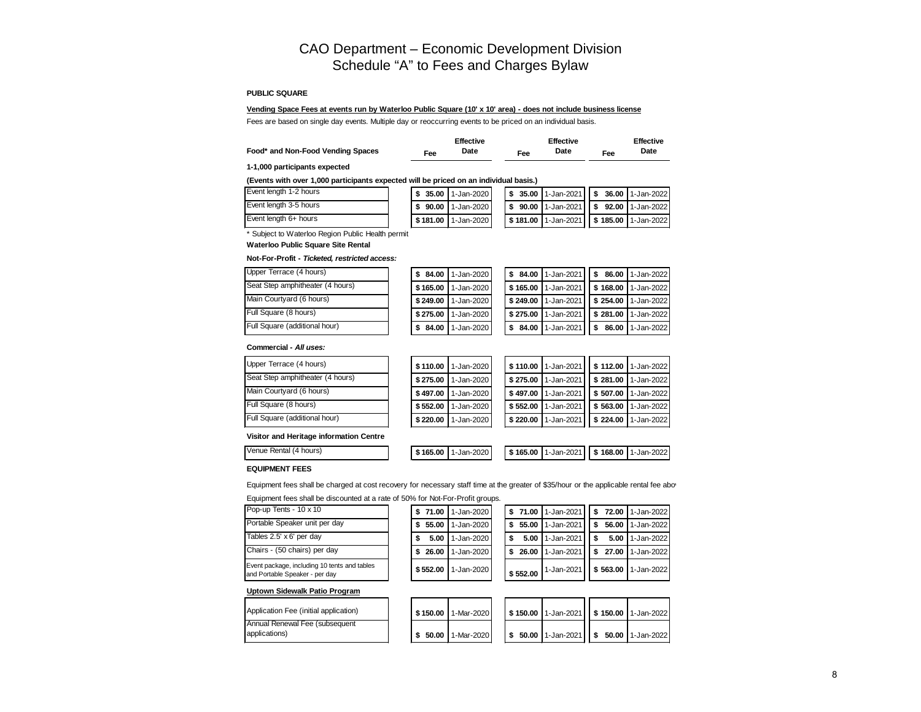# CAO Department – Economic Development Division Schedule "A" to Fees and Charges Bylaw

#### **PUBLIC SQUARE**

## **Vending Space Fees at events run by Waterloo Public Square (10' x 10' area) - does not include business license**

Fees are based on single day events. Multiple day or reoccurring events to be priced on an individual basis.

|                                   |     | <b>Effective</b> |     | <b>Effective</b> |        | <b>Effective</b> |
|-----------------------------------|-----|------------------|-----|------------------|--------|------------------|
| Food* and Non-Food Vending Spaces | Fee | Date             | Fee | Date             | $=$ ee | Date             |

#### **1-1,000 participants expected**

#### **(Events with over 1,000 participants expected will be priced on an individual basis.)**

| Event length 1-2 hours |  | $\frac{1}{2}$ \$ 35.00   1-Jan-2020 |  | $\frac{1}{2}$ \$ 35.00   1-Jan-2021     \$ 36.00   1-Jan-2022 |  |  |
|------------------------|--|-------------------------------------|--|---------------------------------------------------------------|--|--|
| Event length 3-5 hours |  | <b>S 90.00 1</b> -Jan-2020          |  | $\frac{1}{2}$ \$ 90.00   1-Jan-2021     \$ 92.00   1-Jan-2022 |  |  |
| Event length 6+ hours  |  | <b>S181.00 I</b> 1-Jan-2020 L       |  | $\frac{1}{3}$ 181.00   1-Jan-2021   \$ 185.00   1-Jan-2022    |  |  |

\* Subject to Waterloo Region Public Health permit

**Waterloo Public Square Site Rental** 

#### **Not-For-Profit -** *Ticketed, restricted access:*

| Upper Terrace (4 hours)          | \$84.00  | 1-Jan-2020 |          | $$84.00$   1-Jan-2021 |                         | S 86.00 1-Jan-2022 |
|----------------------------------|----------|------------|----------|-----------------------|-------------------------|--------------------|
| Seat Step amphitheater (4 hours) | \$165.00 | 1-Jan-2020 |          | \$165.00 1-Jan-2021   | \$168.00                | 1-Jan-2022         |
| Main Courtyard (6 hours)         | \$249.00 | 1-Jan-2020 |          | \$249.00 1-Jan-2021   | $\frac{1}{2}$ \$ 254.00 | 1-Jan-2022         |
| Full Square (8 hours)            | \$275.00 | 1-Jan-2020 | \$275.00 | 1-Jan-2021            | \$281.00                | 1-Jan-2022         |
| Full Square (additional hour)    | \$84.00  | 1-Jan-2020 | \$84.00  | 1-Jan-2021            | 86.00<br>\$             | 1-Jan-2022         |

#### **Commercial -** *All uses:*

| ce (4 hours)          | \$110.00 | 1-Jan-202 |
|-----------------------|----------|-----------|
| nphitheater (4 hours) | \$275.00 | 1-Jan-202 |
| ard (6 hours)         | \$497.00 | 1-Jan-202 |
| 8 hours)              | \$552.00 | 1-Jan-202 |
| (additional hour)     | \$220.00 | 1-Jan-202 |

| Upper Terrace (4 hours)          | \$110.00 | 1-Jan-2020 |          | \$110.00 1-Jan-2021 |                         | \$112.00 1-Jan-2022 |
|----------------------------------|----------|------------|----------|---------------------|-------------------------|---------------------|
| Seat Step amphitheater (4 hours) | \$275.00 | 1-Jan-2020 | \$275.00 | 1-Jan-2021          | $\frac{1}{2}$ \$ 281.00 | 1-Jan-2022          |
| Main Courtyard (6 hours)         | \$497.00 | 1-Jan-2020 |          | \$497.00 1-Jan-2021 | $\frac{1}{2}$ \$ 507.00 | 1-Jan-2022          |
| Full Square (8 hours)            | \$552.00 | 1-Jan-2020 | \$552.00 | 1-Jan-2021          | $\frac{1}{2}$ \$ 563.00 | 1-Jan-2022          |
| Full Square (additional hour)    | \$220.00 | 1-Jan-2020 | \$220.00 | 1-Jan-2021          | $\frac{1}{2}$ \$ 224.00 | 1-Jan-2022          |

#### **Visitor and Heritage information Centre**

| Venue Rental (4 hours) | \$165.00 | 1-Jan-2020 |  | S 165.00 1-Jan-2021 S 168.00 1-Jan-2022 |  |  |
|------------------------|----------|------------|--|-----------------------------------------|--|--|
|                        |          |            |  |                                         |  |  |

### **EQUIPMENT FEES**

Equipment fees shall be charged at cost recovery for necessary staff time at the greater of \$35/hour or the applicable rental fee abov

Equipment fees shall be discounted at a rate of 50% for Not-For-Profit groups.

| Pop-up Tents - 10 x 10                                                         |          | $$71.00$   1-Jan-2020 |          | $$71.00$ 1-Jan-2021 |  | $\frac{1}{2}$ 72.00 1-Jan-2022 |
|--------------------------------------------------------------------------------|----------|-----------------------|----------|---------------------|--|--------------------------------|
| Portable Speaker unit per day                                                  |          | $$55.00$   1-Jan-2020 | \$55.00  | 1-Jan-2021          |  | 56.00 1-Jan-2022               |
| Tables 2.5' x 6' per day                                                       | 5.00     | 1-Jan-2020            | 5.00     | 1-Jan-2021          |  | 5.00 1-Jan-2022                |
| Chairs - (50 chairs) per day                                                   |          | $$26.00$   1-Jan-2020 | \$26.00  | 1-Jan-2021          |  | $$27.00$   1-Jan-2022          |
| Event package, including 10 tents and tables<br>and Portable Speaker - per day | \$552.00 | 1-Jan-2020            | \$552.00 | 1-Jan-2021          |  | $$563.00$ 1-Jan-2022           |

#### **Uptown Sidewalk Patio Program**

| Application Fee (initial application) |  | S 150.00 11-Mar-2020 |  | <b>  \$ 150.00   1-Jan-2021     \$ 150.00   1-Jan-2022  </b> |  |  |
|---------------------------------------|--|----------------------|--|--------------------------------------------------------------|--|--|
| Annual Renewal Fee (subsequent        |  |                      |  |                                                              |  |  |
| applications)                         |  | S 50.00   1-Mar-2020 |  | $\frac{1}{2}$ 50.00   1-Jan-2021   \$ 50.00   1-Jan-2022     |  |  |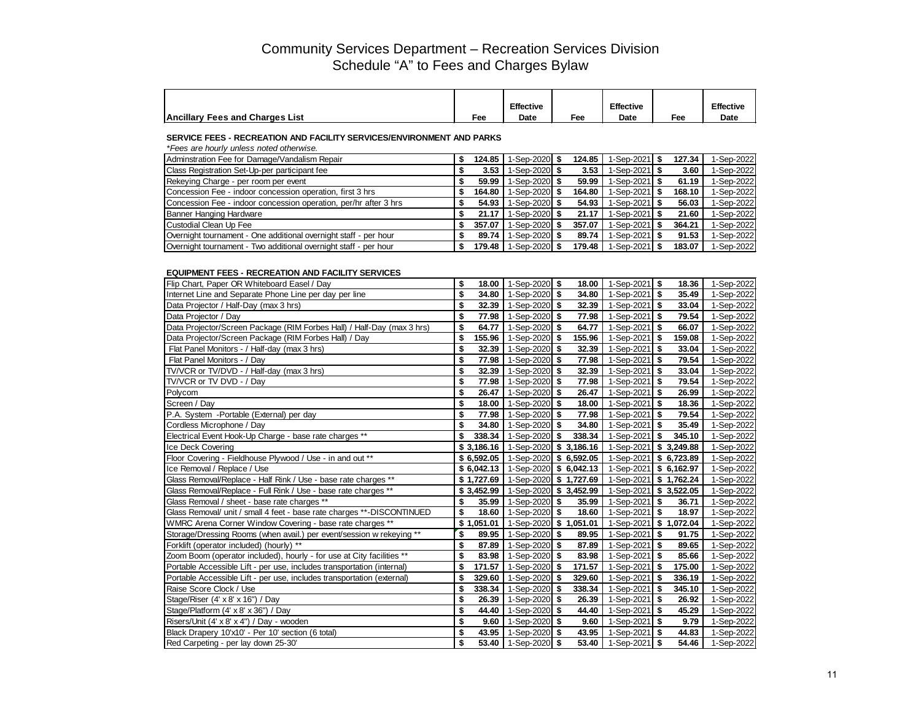|                                        |     | <b>Effective</b> |     | <b>Effective</b> |                 | <b>Effective</b> |
|----------------------------------------|-----|------------------|-----|------------------|-----------------|------------------|
| <b>Ancillary Fees and Charges List</b> | Fee | Date             | Fee | Date             | Fe <sub>e</sub> | Date             |

### **SERVICE FEES - RECREATION AND FACILITY SERVICES/ENVIRONMENT AND PARKS**

| *Fees are hourly unless noted otherwise.                         |        |                 |        |                          |        |            |
|------------------------------------------------------------------|--------|-----------------|--------|--------------------------|--------|------------|
| Adminstration Fee for Damage/Vandalism Repair                    | 124.85 | 1-Sep-2020 $$$  | 124.85 | 1-Sep-2021 S             | 127.34 | -Sep-2022  |
| Class Registration Set-Up-per participant fee                    | 3.53   | 1-Sep-2020 $$$  | 3.53   | 1-Sep-2021   \$          | 3.60   | 1-Sep-2022 |
| Rekeying Charge - per room per event                             | 59.99  | 1-Sep-2020 $$$  | 59.99  | 1-Sep-2021   \$          | 61.19  | 1-Sep-2022 |
| Concession Fee - indoor concession operation, first 3 hrs        | 164.80 | 1-Sep-2020 $$$  | 164.80 | 1-Sep-2021 S             | 168.10 | 1-Sep-2022 |
| Concession Fee - indoor concession operation, per/hr after 3 hrs | 54.93  | 1-Sep-2020 \$   | 54.93  | 1-Sep-2021   \$          | 56.03  | 1-Sep-2022 |
| Banner Hanging Hardware                                          | 21.17  | 1-Sep-2020   \$ | 21.17  | 1-Sep-2021   \$          | 21.60  | 1-Sep-2022 |
| Custodial Clean Up Fee                                           | 357.07 | 1-Sep-2020 \$   | 357.07 | 1-Sep-2021 $\frac{1}{9}$ | 364.21 | 1-Sep-2022 |
| Overnight tournament - One additional overnight staff - per hour | 89.74  | 1-Sep-2020 $$$  | 89.74  | 1-Sep-2021 $\frac{1}{9}$ | 91.53  | 1-Sep-2022 |
| Overnight tournament - Two additional overnight staff - per hour | 179.48 | 1-Sep-2020 \$   | 179.48 | 1-Sep-2021 $\frac{1}{3}$ | 183.07 | 1-Sep-2022 |

#### **EQUIPMENT FEES - RECREATION AND FACILITY SERVICES**

| Flip Chart, Paper OR Whiteboard Easel / Day                            | \$           | 18.00   1-Sep-2020   \$               | 18.00  | 1-Sep-2021 $$$           | 18.36          | 1-Sep-2022 |
|------------------------------------------------------------------------|--------------|---------------------------------------|--------|--------------------------|----------------|------------|
| Internet Line and Separate Phone Line per day per line                 | \$<br>34.80  | 1-Sep-2020 \$                         | 34.80  | 1-Sep-2021 $\frac{1}{9}$ | 35.49          | 1-Sep-2022 |
| Data Projector / Half-Day (max 3 hrs)                                  | \$           | 32.39   1-Sep-2020   \$               | 32.39  | 1-Sep-2021 $$$           | 33.04          | 1-Sep-2022 |
| Data Projector / Day                                                   | \$           | 77.98   1-Sep-2020   \$               | 77.98  | 1-Sep-2021 $\frac{1}{9}$ | 79.54          | 1-Sep-2022 |
| Data Projector/Screen Package (RIM Forbes Hall) / Half-Day (max 3 hrs) | \$<br>64.77  | 1-Sep-2020 \$                         | 64.77  | 1-Sep-2021 $$$           | 66.07          | 1-Sep-2022 |
| Data Projector/Screen Package (RIM Forbes Hall) / Day                  | \$<br>155.96 | 1-Sep-2020 \$                         | 155.96 | 1-Sep-2021 $\frac{1}{9}$ | 159.08         | 1-Sep-2022 |
| Flat Panel Monitors - / Half-day (max 3 hrs)                           | \$<br>32.39  | 1-Sep-2020 \$                         | 32.39  | 1-Sep-2021 $\frac{1}{9}$ | 33.04          | 1-Sep-2022 |
| Flat Panel Monitors - / Day                                            | \$           | 77.98   1-Sep-2020   \$               | 77.98  | 1-Sep-2021 $$$           | 79.54          | 1-Sep-2022 |
| TV/VCR or TV/DVD - / Half-day (max 3 hrs)                              | \$           | 32.39   1-Sep-2020   \$               | 32.39  | $1-Sep-2021$ \$          | 33.04          | 1-Sep-2022 |
| TV/VCR or TV DVD - / Day                                               | \$           | 77.98   1-Sep-2020   \$               | 77.98  | 1-Sep-2021 $\frac{1}{9}$ | 79.54          | 1-Sep-2022 |
| Polycom                                                                | \$           | 26.47   1-Sep-2020   \$               | 26.47  | 1-Sep-2021 $\frac{1}{9}$ | 26.99          | 1-Sep-2022 |
| Screen / Day                                                           | \$<br>18.00  | 1-Sep-2020 $$$                        | 18.00  | 1-Sep-2021 $\frac{1}{2}$ | 18.36          | 1-Sep-2022 |
| P.A. System - Portable (External) per day                              | \$           | 77.98   1-Sep-2020   \$               | 77.98  | 1-Sep-2021 $\frac{1}{2}$ | 79.54          | 1-Sep-2022 |
| Cordless Microphone / Day                                              | \$           | 34.80   1-Sep-2020   \$               | 34.80  | 1-Sep-2021 $\frac{1}{9}$ | 35.49          | 1-Sep-2022 |
| Electrical Event Hook-Up Charge - base rate charges **                 | \$           | 338.34   1-Sep-2020   \$              | 338.34 | 1-Sep-2021               | 345.10<br>l \$ | 1-Sep-2022 |
| Ice Deck Covering                                                      |              | $$3,186.16$   1-Sep-2020   \$3,186.16 |        | 1-Sep-2021               | \$3,249.88     | 1-Sep-2022 |
| Floor Covering - Fieldhouse Plywood / Use - in and out **              |              | $$6,592.05$   1-Sep-2020   \$6,592.05 |        | 1-Sep-2021               | \$6,723.89     | 1-Sep-2022 |
| Ice Removal / Replace / Use                                            |              | $$6,042.13$   1-Sep-2020   \$6,042.13 |        | 1-Sep-2021 \$ 6,162.97   |                | 1-Sep-2022 |
| Glass Removal/Replace - Half Rink / Use - base rate charges **         |              | $$1,727.69$   1-Sep-2020   \$1,727.69 |        | 1-Sep-2021 \$ 1,762.24   |                | 1-Sep-2022 |
| Glass Removal/Replace - Full Rink / Use - base rate charges **         |              | $$3,452.99$   1-Sep-2020   \$3,452.99 |        | 1-Sep-2021               | \$3,522.05     | 1-Sep-2022 |
| Glass Removal / sheet - base rate charges **                           | \$           | 35.99   1-Sep-2020   \$               | 35.99  | 1-Sep-2021 $\frac{1}{9}$ | 36.71          | 1-Sep-2022 |
| Glass Removal/ unit / small 4 feet - base rate charges **-DISCONTINUED | \$           | 18.60   1-Sep-2020 \$                 | 18.60  | $1-Sep-2021$ \$          | 18.97          | 1-Sep-2022 |
| WMRC Arena Corner Window Covering - base rate charges **               | \$1,051.01   | 1-Sep-2020 \$ 1,051.01                |        | 1-Sep-2021 \$ 1,072.04   |                | 1-Sep-2022 |
| Storage/Dressing Rooms (when avail.) per event/session w rekeying **   | \$<br>89.95  | 1-Sep-2020 \$                         | 89.95  | 1-Sep-2021 $$$           | 91.75          | 1-Sep-2022 |
| Forklift (operator included) (hourly) **                               | \$           | 87.89   1-Sep-2020 \$                 | 87.89  | 1-Sep-2021 $$$           | 89.65          | 1-Sep-2022 |
| Zoom Boom (operator included), hourly - for use at City facilities **  | \$           | 83.98   1-Sep-2020   \$               | 83.98  | 1-Sep-2021 $\frac{1}{9}$ | 85.66          | 1-Sep-2022 |
| Portable Accessible Lift - per use, includes transportation (internal) | \$<br>171.57 | 1-Sep-2020 \$                         | 171.57 | 1-Sep-2021 $\frac{1}{9}$ | 175.00         | 1-Sep-2022 |
| Portable Accessible Lift - per use, includes transportation (external) | \$<br>329.60 | 1-Sep-2020 $$$                        | 329.60 | 1-Sep-2021 $\frac{1}{9}$ | 336.19         | 1-Sep-2022 |
| Raise Score Clock / Use                                                | \$<br>338.34 | 1-Sep-2020 \$                         | 338.34 | 1-Sep-2021 $\frac{1}{9}$ | 345.10         | 1-Sep-2022 |
| Stage/Riser (4' x 8' x 16") / Day                                      | \$           | 26.39   1-Sep-2020   \$               | 26.39  | 1-Sep-2021 $\frac{1}{9}$ | 26.92          | 1-Sep-2022 |
| Stage/Platform (4' x 8' x 36") / Day                                   | \$<br>44.40  | 1-Sep-2020 \$                         | 44.40  | 1-Sep-2021 $$$           | 45.29          | 1-Sep-2022 |
| Risers/Unit (4' x 8' x 4") / Day - wooden                              | \$           | $9.60$   1-Sep-2020   \$              | 9.60   | 1-Sep-2021 $$$           | 9.79           | 1-Sep-2022 |
| Black Drapery 10'x10' - Per 10' section (6 total)                      | \$           | 43.95   1-Sep-2020   \$               | 43.95  | 1-Sep-2021 $\frac{1}{9}$ | 44.83          | 1-Sep-2022 |
| Red Carpeting - per lay down 25-30'                                    | \$           | 53.40   1-Sep-2020   \$               | 53.40  | 1-Sep-2021 $\frac{1}{9}$ | 54.46          | 1-Sep-2022 |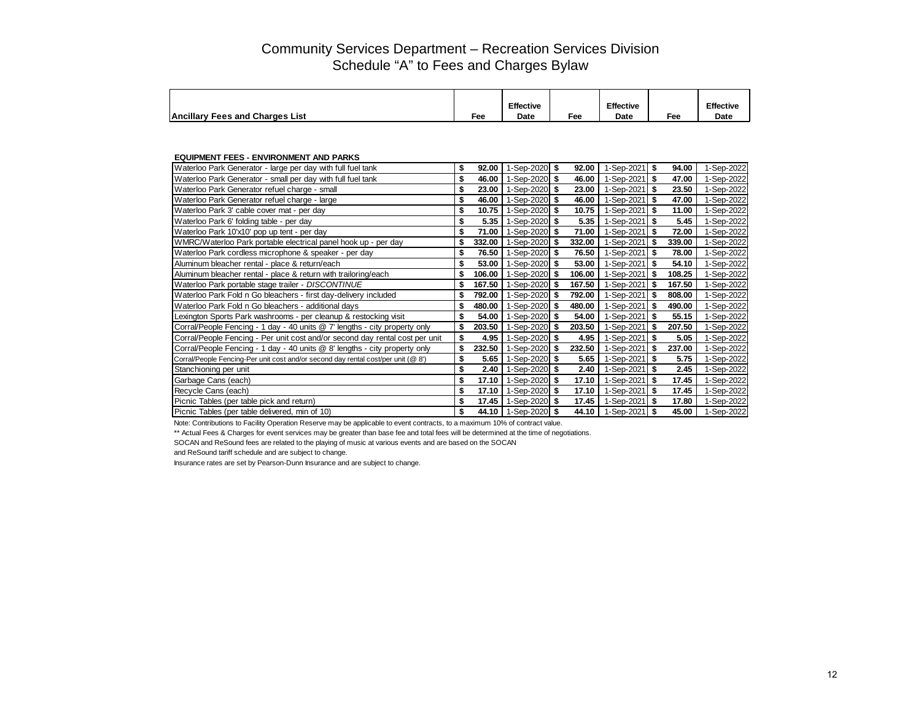|                                        |     | Effective |     | <b>Effective</b> |     | <b>Effective</b> |
|----------------------------------------|-----|-----------|-----|------------------|-----|------------------|
| <b>Ancillary Fees and Charges List</b> | Fee | Date      | Fee | Date             | Fee | Date             |

## **EQUIPMENT FEES - ENVIRONMENT AND PARKS**

| \$<br>92.00  | 92.00  |                                                                                                                                                                                                                                                                                                                                                                                                                                     | 94.00          | 1-Sep-2022                                                                                                                                                                                                                                                                                                                                                                                                                                                                                              |
|--------------|--------|-------------------------------------------------------------------------------------------------------------------------------------------------------------------------------------------------------------------------------------------------------------------------------------------------------------------------------------------------------------------------------------------------------------------------------------|----------------|---------------------------------------------------------------------------------------------------------------------------------------------------------------------------------------------------------------------------------------------------------------------------------------------------------------------------------------------------------------------------------------------------------------------------------------------------------------------------------------------------------|
| \$<br>46.00  | 46.00  |                                                                                                                                                                                                                                                                                                                                                                                                                                     | 47.00          | 1-Sep-2022                                                                                                                                                                                                                                                                                                                                                                                                                                                                                              |
| \$<br>23.00  | 23.00  |                                                                                                                                                                                                                                                                                                                                                                                                                                     | 23.50          | 1-Sep-2022                                                                                                                                                                                                                                                                                                                                                                                                                                                                                              |
| \$<br>46.00  | 46.00  |                                                                                                                                                                                                                                                                                                                                                                                                                                     | 47.00          | 1-Sep-2022                                                                                                                                                                                                                                                                                                                                                                                                                                                                                              |
| \$<br>10.75  | 10.75  |                                                                                                                                                                                                                                                                                                                                                                                                                                     | 11.00          | 1-Sep-2022                                                                                                                                                                                                                                                                                                                                                                                                                                                                                              |
| \$<br>5.35   | 5.35   |                                                                                                                                                                                                                                                                                                                                                                                                                                     | 5.45           | 1-Sep-2022                                                                                                                                                                                                                                                                                                                                                                                                                                                                                              |
| \$<br>71.00  | 71.00  |                                                                                                                                                                                                                                                                                                                                                                                                                                     | 72.00          | 1-Sep-2022                                                                                                                                                                                                                                                                                                                                                                                                                                                                                              |
| \$<br>332.00 | 332.00 |                                                                                                                                                                                                                                                                                                                                                                                                                                     | 339.00<br>- \$ | 1-Sep-2022                                                                                                                                                                                                                                                                                                                                                                                                                                                                                              |
| \$<br>76.50  | 76.50  |                                                                                                                                                                                                                                                                                                                                                                                                                                     | 78.00          | 1-Sep-2022                                                                                                                                                                                                                                                                                                                                                                                                                                                                                              |
| \$<br>53.00  | 53.00  |                                                                                                                                                                                                                                                                                                                                                                                                                                     | 54.10          | 1-Sep-2022                                                                                                                                                                                                                                                                                                                                                                                                                                                                                              |
| \$<br>106.00 | 106.00 |                                                                                                                                                                                                                                                                                                                                                                                                                                     | 108.25         | 1-Sep-2022                                                                                                                                                                                                                                                                                                                                                                                                                                                                                              |
| \$<br>167.50 | 167.50 |                                                                                                                                                                                                                                                                                                                                                                                                                                     | 167.50         | 1-Sep-2022                                                                                                                                                                                                                                                                                                                                                                                                                                                                                              |
| \$<br>792.00 | 792.00 |                                                                                                                                                                                                                                                                                                                                                                                                                                     | 808.00         | 1-Sep-2022                                                                                                                                                                                                                                                                                                                                                                                                                                                                                              |
| \$<br>480.00 | 480.00 |                                                                                                                                                                                                                                                                                                                                                                                                                                     | 490.00         | 1-Sep-2022                                                                                                                                                                                                                                                                                                                                                                                                                                                                                              |
| \$<br>54.00  | 54.00  |                                                                                                                                                                                                                                                                                                                                                                                                                                     | 55.15          | 1-Sep-2022                                                                                                                                                                                                                                                                                                                                                                                                                                                                                              |
| \$<br>203.50 | 203.50 |                                                                                                                                                                                                                                                                                                                                                                                                                                     | 207.50         | 1-Sep-2022                                                                                                                                                                                                                                                                                                                                                                                                                                                                                              |
| \$<br>4.95   |        |                                                                                                                                                                                                                                                                                                                                                                                                                                     | 5.05           | 1-Sep-2022                                                                                                                                                                                                                                                                                                                                                                                                                                                                                              |
| \$<br>232.50 | 232.50 |                                                                                                                                                                                                                                                                                                                                                                                                                                     | 237.00         | 1-Sep-2022                                                                                                                                                                                                                                                                                                                                                                                                                                                                                              |
| \$<br>5.65   | 5.65   |                                                                                                                                                                                                                                                                                                                                                                                                                                     | 5.75           | 1-Sep-2022                                                                                                                                                                                                                                                                                                                                                                                                                                                                                              |
| \$<br>2.40   | 2.40   |                                                                                                                                                                                                                                                                                                                                                                                                                                     | 2.45           | 1-Sep-2022                                                                                                                                                                                                                                                                                                                                                                                                                                                                                              |
| \$<br>17.10  | 17.10  |                                                                                                                                                                                                                                                                                                                                                                                                                                     | 17.45          | 1-Sep-2022                                                                                                                                                                                                                                                                                                                                                                                                                                                                                              |
| \$<br>17.10  | 17.10  |                                                                                                                                                                                                                                                                                                                                                                                                                                     | 17.45          | 1-Sep-2022                                                                                                                                                                                                                                                                                                                                                                                                                                                                                              |
| \$<br>17.45  | 17.45  |                                                                                                                                                                                                                                                                                                                                                                                                                                     | 17.80          | 1-Sep-2022                                                                                                                                                                                                                                                                                                                                                                                                                                                                                              |
| \$           |        |                                                                                                                                                                                                                                                                                                                                                                                                                                     | 45.00          | 1-Sep-2022                                                                                                                                                                                                                                                                                                                                                                                                                                                                                              |
|              | 44.10  | 1-Sep-2020 $$$<br>1-Sep-2020 $$$<br>1-Sep-2020 \$<br>1-Sep-2020 \$<br>1-Sep-2020 \$<br>1-Sep-2020 \$<br>1-Sep-2020 \$<br>1-Sep-2020 \$<br>1-Sep-2020 $$$<br>1-Sep-2020 \$<br>1-Sep-2020 $$$<br>1-Sep-2020 \$<br>1-Sep-2020 \$<br>1-Sep-2020 \$<br>1-Sep-2020 \$<br>1-Sep-2020 \$<br>1-Sep-2020 \$<br>4.95<br>1-Sep-2020 \$<br>$1-Sep-2020$ \$<br>1-Sep-2020 \$<br>1-Sep-2020 $$$<br>1-Sep-2020 \$<br>1-Sep-2020 \$<br>1-Sep-2020 \$ | 44.10          | 1-Sep-2021 $$$<br>1-Sep-2021 $\frac{1}{9}$<br>$1-Sep-2021$ \$<br>1-Sep-2021 $$$<br>1-Sep-2021 \$<br>1-Sep-2021 $$$<br>$-Sep-2021$ \$<br>$-Sep-2021$<br>1-Sep-2021 $$$<br>$-Sep-2021$ \$<br>1-Sep-2021 $\frac{1}{9}$<br>1-Sep-2021   \$<br>1-Sep-2021 $\frac{1}{9}$<br>1-Sep-2021 $\frac{1}{9}$<br>1-Sep-2021 $\frac{1}{9}$<br>1-Sep-2021 $$$<br>$1-Sep-2021$ \$<br>$-Sep-2021$ \$<br>$-Sep-2021$ \$<br>$-Sep-2021$ \$<br>1-Sep-2021 $\frac{1}{9}$<br>$1-Sep-2021$ \$<br>1-Sep-2021 \$<br>1-Sep-2021 $$$ |

Note: Contributions to Facility Operation Reserve may be applicable to event contracts, to a maximum 10% of contract value.

\*\* Actual Fees & Charges for event services may be greater than base fee and total fees will be determined at the time of negotiations.

SOCAN and ReSound fees are related to the playing of music at various events and are based on the SOCAN

and ReSound tariff schedule and are subject to change.

Insurance rates are set by Pearson-Dunn Insurance and are subject to change.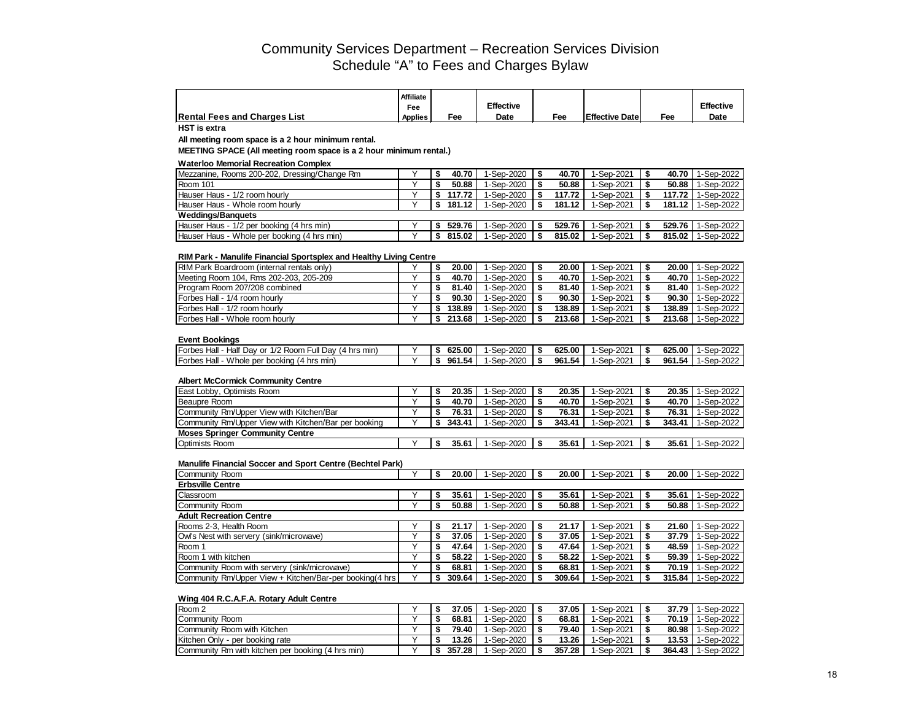|                                     | Affiliate      |     |                  |     |                        |     |                  |
|-------------------------------------|----------------|-----|------------------|-----|------------------------|-----|------------------|
|                                     | Fee            |     | <b>Effective</b> |     |                        |     | <b>Effective</b> |
| <b>Rental Fees and Charges List</b> | <b>Applies</b> | ™ee | Date             | Fee | <b>Effective Date:</b> | Fee | Date             |

**HST is extra**

**All meeting room space is a 2 hour minimum rental.**

**MEETING SPACE (All meeting room space is a 2 hour minimum rental.)**

## **Waterloo Memorial Recreation Complex**

| Mezzanine. Rooms 200-202. Dressing/Change Rm | 40.70  | 1-Sep-2020 I | 40.70  | 1-Sep-2021 | 40.70  | 1-Sep-2022 |
|----------------------------------------------|--------|--------------|--------|------------|--------|------------|
| Room 101                                     | 50.88  | 1-Sep-2020   | 50.88  | 1-Sep-2021 | 50.88  | 1-Sep-2022 |
| Hauser Haus - 1/2 room hourly                | 117.72 | 1-Sep-2020   | 117.72 | 1-Sep-2021 | 117.72 | 1-Sep-2022 |
| Hauser Haus - Whole room hourly              | 181.12 | 1-Sep-2020   | 181.12 | 1-Sep-2021 | 181.12 | 1-Sep-2022 |
| <b>Weddings/Banquets</b>                     |        |              |        |            |        |            |
| Hauser Haus - 1/2 per booking (4 hrs min)    | 529.76 | 1-Sep-2020   | 529.76 | 1-Sep-2021 | 529.76 | 1-Sep-2022 |
| Hauser Haus - Whole per booking (4 hrs min)  | 815.02 | 1-Sep-2020   | 815.02 | I-Sep-2021 | 815.02 | 1-Sep-2022 |

#### **RIM Park - Manulife Financial Sportsplex and Healthy Living Centre**

| RIM Park Boardroom (internal rentals only) | 20.00  | -Sep-2020  | 20.00  | 1-Sep-2021 |        | 20.00 1-Sep-2022    |
|--------------------------------------------|--------|------------|--------|------------|--------|---------------------|
| Meeting Room 104. Rms 202-203. 205-209     | 40.70  | l-Sep-2020 | 40.70  | 1-Sep-2021 |        | 40.70 1-Sep-2022    |
| <b>IProgram Room 207/208 combined</b>      | 81.40  | -Sep-2020  | 81.40  | 1-Sep-2021 |        | 81.40 1-Sep-2022    |
| <b>IForbes Hall - 1/4 room hourly</b>      | 90.30  | -Sep-2020  | 90.30  | 1-Sep-2021 |        | 90.30 1-Sep-2022    |
| <b>IForbes Hall - 1/2 room hourly</b>      | 138.89 | -Sep-2020  | 138.89 | 1-Sep-2021 |        | 138.89   1-Sep-2022 |
| <b>IForbes Hall - Whole room hourly</b>    | 213.68 | -Sep-2020  | 213.68 | 1-Sep-2021 | 213.68 | 1-Sep-2022          |

#### **Event Bookings**

| <b>Forbes Hall - Half Day or 1/2 Room Full Day (4 hrs min)</b> | 625.00     | 1-Sep-2020 | 625.00 | 1-Sep-2021 | 625.00 | 1-Sep-2022   |
|----------------------------------------------------------------|------------|------------|--------|------------|--------|--------------|
| <b>IForbes Hall -</b><br>- Whole per booking (4 hrs min)       | 961<br>.54 | 1-Sep-2020 | 961.54 | 1-Sep-2021 | 961.54 | 1-Sep-2022 ' |

#### **Albert McCormick Community Centre**

| East Lobby, Optimists Room                           |  | 20.35  | l-Sep-2020 I | 20.35  | -Sep-2021  | 20.35   | 1-Sep-2022       |
|------------------------------------------------------|--|--------|--------------|--------|------------|---------|------------------|
| Beaupre Room                                         |  | 40.70  | l-Sep-2020   | 40.70  | i-Sep-2021 | 40.70 l | 1-Sep-2022       |
| Community Rm/Upper View with Kitchen/Bar             |  | 76.31  | 1-Sep-2020   | 76.31  | 1-Sep-2021 | 76.31   | 1-Sep-2022 l     |
| Community Rm/Upper View with Kitchen/Bar per booking |  | 343.41 | 1-Sep-2020   | 343.41 | 1-Sep-2021 | 343.41  | 1-Sep-2022 I     |
| <b>Moses Springer Community Centre</b>               |  |        |              |        |            |         |                  |
| <b>Optimists Room</b>                                |  | 35.61  | I-Sep-2020   | 35.61  | i-Sep-2021 |         | 35.61 1-Sep-2022 |

#### **Manulife Financial Soccer and Sport Centre (Bechtel Park)**

| Community Room                                          |  | 20.00  | 1-Sep-2020 |     | 20.00  | 1-Sep-2021 | 20.00  | 1-Sep-2022 |
|---------------------------------------------------------|--|--------|------------|-----|--------|------------|--------|------------|
| <b>Erbsville Centre</b>                                 |  |        |            |     |        |            |        |            |
| <b>Classroom</b>                                        |  | 35.61  | 1-Sep-2020 |     | 35.61  | 1-Sep-2021 | 35.61  | 1-Sep-2022 |
| Community Room                                          |  | 50.88  | 1-Sep-2020 |     | 50.88  | 1-Sep-2021 | 50.88  | 1-Sep-2022 |
| <b>Adult Recreation Centre</b>                          |  |        |            |     |        |            |        |            |
| Rooms 2-3, Health Room                                  |  | 21.17  | 1-Sep-2020 |     | 21.17  | 1-Sep-2021 | 21.60  | 1-Sep-2022 |
| Owl's Nest with servery (sink/microwave)                |  | 37.05  | 1-Sep-2020 |     | 37.05  | 1-Sep-2021 | 37.79  | 1-Sep-2022 |
| Room 1                                                  |  | 47.64  | 1-Sep-2020 |     | 47.64  | 1-Sep-2021 | 48.59  | 1-Sep-2022 |
| Room 1 with kitchen                                     |  | 58.22  | 1-Sep-2020 | -39 | 58.22  | 1-Sep-2021 | 59.39  | 1-Sep-2022 |
| Community Room with servery (sink/microwave)            |  | 68.81  | 1-Sep-2020 |     | 68.81  | 1-Sep-2021 | 70.19  | 1-Sep-2022 |
| Community Rm/Upper View + Kitchen/Bar-per booking(4 hrs |  | 309.64 | 1-Sep-2020 |     | 309.64 | 1-Sep-2021 | 315.84 | 1-Sep-2022 |

### **Wing 404 R.C.A.F.A. Rotary Adult Centre**

| Room 2                                            |  | 37.05  | i-Sep-2020 | 37.05  | -Sep-2021  | 37.79  | 1-Sep-2022   |
|---------------------------------------------------|--|--------|------------|--------|------------|--------|--------------|
| <b>Community Room</b>                             |  | 68.81  | l-Sep-2020 | 68.81  | i-Sep-2021 | 70.19  | 1-Sep-2022   |
| Community Room with Kitchen                       |  | 79.40  | l-Sep-2020 | 79.40  | -Sep-2021  | 80.98  | 1-Sep-2022   |
| Kitchen Only - per booking rate                   |  | 13.26  | l-Sep-2020 | 13.26  | -Sep-2021  | 13.53  | $1-Sep-2022$ |
| Community Rm with kitchen per booking (4 hrs min) |  | 357.28 | l-Sep-2020 | 357.28 | -Sep-2021  | 364.43 | 1-Sep-2022   |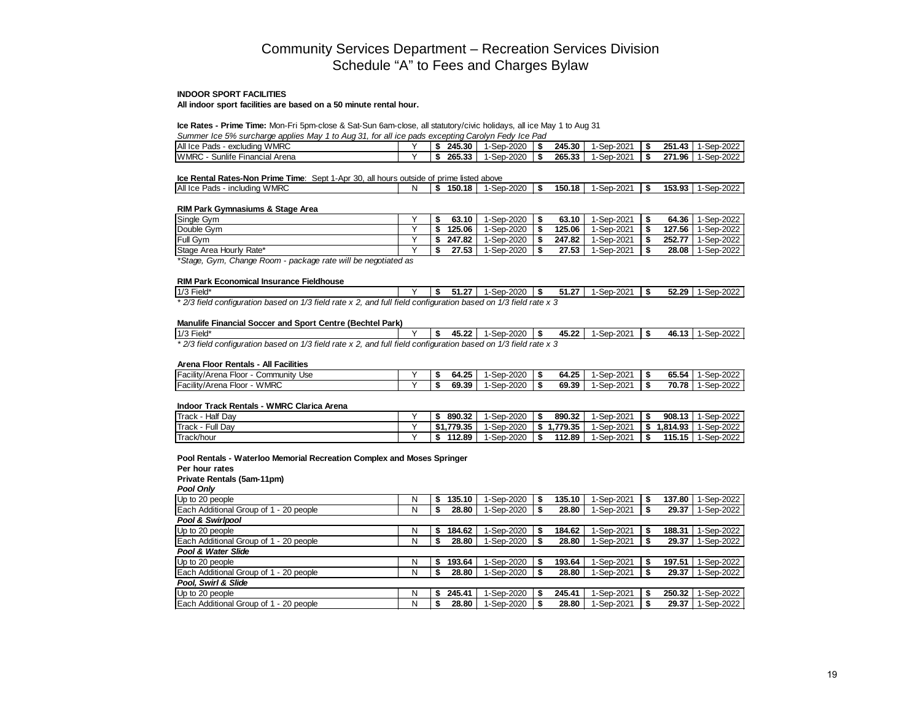#### **INDOOR SPORT FACILITIES**

**All indoor sport facilities are based on a 50 minute rental hour.**

### **Ice Rates - Prime Time:** Mon-Fri 5pm-close & Sat-Sun 6am-close, all statutory/civic holidays, all ice May 1 to Aug 31

*Summer Ice 5% surcharge applies May 1 to Aug 31, for all ice pads excepting Carolyn Fedy Ice Pad*

| All Ice Pads<br><b>WMRC</b><br>excludina                      | 245.30 | $-2020$<br>Sep-2                 | 245.30 | -2021م.<br>l-Sep | 251.<br>$\overline{10}$<br>л.<br>-0<br>.<br>w | 0000<br>1-Sep<br>-2022    |
|---------------------------------------------------------------|--------|----------------------------------|--------|------------------|-----------------------------------------------|---------------------------|
| $\cdots$<br><b>WMRC</b><br>sunlife<br>Arena<br>Financial<br>س | 265.33 | $-2020$<br>Sep<br>$\overline{ }$ | 265.33 | -2021م.<br>-Sep  | 271.96<br>-0                                  | ว-2022<br>$\sim$<br>1-Sep |

## **Ice Rental Rates-Non Prime Time**: Sept 1-Apr 30, all hours outside of prime listed above

| All Ice<br><b>WMRC</b><br>≧ Pads<br>including | N | 150.<br>.18 | $-2020$<br><b>Sep</b> | 150.18 | ·2021<br>-Sep- | 153.93 | $-2022$<br>$S_{\Omega}$<br>JAL |
|-----------------------------------------------|---|-------------|-----------------------|--------|----------------|--------|--------------------------------|
|                                               |   |             |                       |        |                |        |                                |

#### **RIM Park Gymnasiums & Stage Area**

| Single Gym              |  | 63.10  | 1-Sep-2020 | 63.10  | i-Sep-2021 | 64.36 l | 1-Sep-2022 |
|-------------------------|--|--------|------------|--------|------------|---------|------------|
| Double Gym              |  | 125.06 | 1-Sep-2020 | 125.06 | I-Sep-2021 | 127.56  | 1-Sep-2022 |
| Full Gym                |  | 247.82 | 1-Sep-2020 | 247.82 | I-Sep-2021 | 252.77  | 1-Sep-2022 |
| Stage Area Hourly Rate* |  | 27.53  | 1-Sep-2020 | 27.53  | i-Sep-2021 | 28.08   | 1-Sep-2022 |

*\*Stage, Gym, Change Room - package rate will be negotiated as* 

#### **RIM Park Economical Insurance Fieldhouse**

| $1/3$ Field* | 51.27 L | 1-Sep-2020 | 51.27 | .     1-Sep-2021 | 52.29 | 1-Sep-2022 |
|--------------|---------|------------|-------|------------------|-------|------------|
|--------------|---------|------------|-------|------------------|-------|------------|

*\* 2/3 field configuration based on 1/3 field rate x 2, and full field configuration based on 1/3 field rate x 3* 

### **Manulife Financial Soccer and Sport Centre (Bechtel Park)**

| 1/3 Field*                                                                                                      |  | 45.22<br>15 | 1-Sep-2020 | 45.22 | 1-Sep-2021 | 46.13 | 1-Sep-2022 |
|-----------------------------------------------------------------------------------------------------------------|--|-------------|------------|-------|------------|-------|------------|
| * 2/3 field configuration based on 1/3 field rate x 2, and full field configuration based on 1/3 field rate x 3 |  |             |            |       |            |       |            |

#### **Arena Floor Rentals - All Facilities**

| $\cdots$<br>$-$<br>∡ Floor ∶<br>Use<br>Community '<br><b>IFacility/Arena</b> |  | 14. OE<br><b>64.ZJ</b> | $-2020$<br>Sep  | <b>GA 25</b><br>64.ZS | J-2021<br>Sep              | $\mathbf{A} \mathbf{F} \mathbf{F}$<br>65.54 | 2022<br>Sep<br>™-∠∪∠∠ |
|------------------------------------------------------------------------------|--|------------------------|-----------------|-----------------------|----------------------------|---------------------------------------------|-----------------------|
| <b>WMRC</b><br>$-$<br>$\cdots$<br>∡ Floor<br><b>IFacility/Arena</b>          |  | 69.39                  | $-2020$<br>-Sep | 69.39                 | 5-202 <sup>ء</sup><br>-Sep | 70.78                                       | $-2022$<br>Sep        |

#### **Indoor Track Rentals - WMRC Clarica Arena**

| 'Track -<br><b>Half Dav</b> | 890.32         | I-Sep-2020 | 890.32  | 1-Sep-2021 |      | 908.13   | 1-Sep-2022 |
|-----------------------------|----------------|------------|---------|------------|------|----------|------------|
| Track -<br>Full Dav         | \$1.779.35     | -Sep-2020  | .779.35 | 1-Sep-2021 | - 30 | 1.814.93 | 1-Sep-2022 |
| <b>Track/hour</b>           | 112.89<br>- 17 | -Sep-2020  | 112.89  | 1-Sep-2021 |      | 115.15   | 1-Sep-2022 |

### **Pool Rentals - Waterloo Memorial Recreation Complex and Moses Springer**

**Per hour rates**

**Private Rentals (5am-11pm)**

*Pool Only*

| Up to 20 people                        | N | 135.10       | 1-Sep-2020 | 135.10 | 1-Sep-2021 | 137.80 | 1-Sep-2022 |
|----------------------------------------|---|--------------|------------|--------|------------|--------|------------|
| Each Additional Group of 1 - 20 people | N | 28.80        | 1-Sep-2020 | 28.80  | 1-Sep-2021 | 29.37  | 1-Sep-2022 |
| Pool & Swirlpool                       |   |              |            |        |            |        |            |
| Up to 20 people                        | N | \$<br>184.62 | 1-Sep-2020 | 184.62 | 1-Sep-2021 | 188.31 | 1-Sep-2022 |
| Each Additional Group of 1 - 20 people | N | 28.80        | 1-Sep-2020 | 28.80  | 1-Sep-2021 | 29.37  | 1-Sep-2022 |
| Pool & Water Slide                     |   |              |            |        |            |        |            |
| Up to 20 people                        | N | 193.64       | 1-Sep-2020 | 193.64 | 1-Sep-2021 | 197.51 | 1-Sep-2022 |
| Each Additional Group of 1 - 20 people | N | 28.80        | 1-Sep-2020 | 28.80  | 1-Sep-2021 | 29.37  | 1-Sep-2022 |
| Pool, Swirl & Slide                    |   |              |            |        |            |        |            |
| Up to 20 people                        | N | \$<br>245.41 | 1-Sep-2020 | 245.41 | 1-Sep-2021 | 250.32 | 1-Sep-2022 |
| Each Additional Group of 1 - 20 people | N | 28.80        | 1-Sep-2020 | 28.80  | 1-Sep-2021 | 29.37  | 1-Sep-2022 |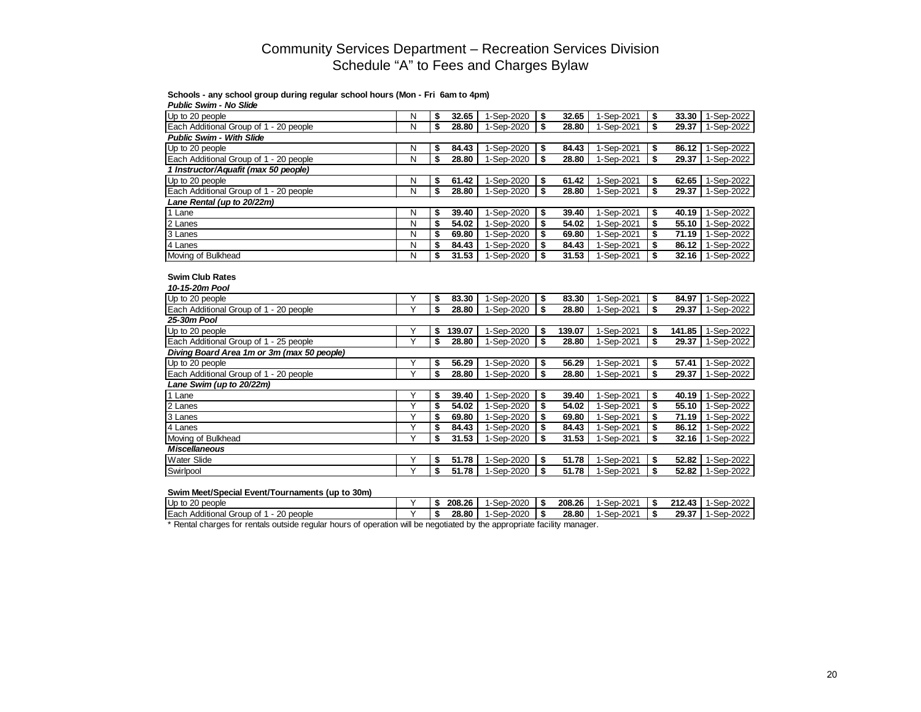## **Schools - any school group during regular school hours (Mon - Fri 6am to 4pm)**

| <b>Public Swim - No Slide</b>              |   |              |            |    |        |            |              |            |
|--------------------------------------------|---|--------------|------------|----|--------|------------|--------------|------------|
| Up to 20 people                            | N | \$<br>32.65  | 1-Sep-2020 | \$ | 32.65  | 1-Sep-2021 | \$<br>33.30  | 1-Sep-2022 |
| Each Additional Group of 1 - 20 people     | N | \$<br>28.80  | 1-Sep-2020 | \$ | 28.80  | 1-Sep-2021 | \$<br>29.37  | 1-Sep-2022 |
| <b>Public Swim - With Slide</b>            |   |              |            |    |        |            |              |            |
| Up to 20 people                            | Ν | \$<br>84.43  | 1-Sep-2020 | \$ | 84.43  | 1-Sep-2021 | \$<br>86.12  | 1-Sep-2022 |
| Each Additional Group of 1 - 20 people     | N | \$<br>28.80  | 1-Sep-2020 | \$ | 28.80  | 1-Sep-2021 | \$<br>29.37  | 1-Sep-2022 |
| 1 Instructor/Aquafit (max 50 people)       |   |              |            |    |        |            |              |            |
| Up to 20 people                            | Ν | \$<br>61.42  | 1-Sep-2020 | \$ | 61.42  | 1-Sep-2021 | \$<br>62.65  | 1-Sep-2022 |
| Each Additional Group of 1 - 20 people     | N | \$<br>28.80  | 1-Sep-2020 | \$ | 28.80  | 1-Sep-2021 | \$<br>29.37  | 1-Sep-2022 |
| Lane Rental (up to 20/22m)                 |   |              |            |    |        |            |              |            |
| $1$ Lane                                   | N | \$<br>39.40  | 1-Sep-2020 | \$ | 39.40  | 1-Sep-2021 | \$<br>40.19  | 1-Sep-2022 |
| $\sqrt{2}$ Lanes                           | N | \$<br>54.02  | 1-Sep-2020 | \$ | 54.02  | 1-Sep-2021 | \$<br>55.10  | 1-Sep-2022 |
| 3 Lanes                                    | N | \$<br>69.80  | 1-Sep-2020 | \$ | 69.80  | 1-Sep-2021 | \$<br>71.19  | 1-Sep-2022 |
| 4 Lanes                                    | N | \$<br>84.43  | 1-Sep-2020 | \$ | 84.43  | 1-Sep-2021 | \$<br>86.12  | 1-Sep-2022 |
| Moving of Bulkhead                         | N | \$<br>31.53  | 1-Sep-2020 | \$ | 31.53  | 1-Sep-2021 | \$<br>32.16  | 1-Sep-2022 |
| <b>Swim Club Rates</b><br>10-15-20m Pool   |   |              |            |    |        |            |              |            |
| Up to 20 people                            | Y | \$<br>83.30  | 1-Sep-2020 | \$ | 83.30  | 1-Sep-2021 | \$<br>84.97  | 1-Sep-2022 |
| Each Additional Group of 1 - 20 people     | Y | \$<br>28.80  | 1-Sep-2020 | \$ | 28.80  | 1-Sep-2021 | \$<br>29.37  | 1-Sep-2022 |
| 25-30m Pool                                |   |              |            |    |        |            |              |            |
| Up to 20 people                            | Υ | \$<br>139.07 | 1-Sep-2020 | \$ | 139.07 | 1-Sep-2021 | \$<br>141.85 | 1-Sep-2022 |
| Each Additional Group of 1 - 25 people     | Y | \$<br>28.80  | 1-Sep-2020 | Ŝ. | 28.80  | 1-Sep-2021 | \$<br>29.37  | 1-Sep-2022 |
| Diving Board Area 1m or 3m (max 50 people) |   |              |            |    |        |            |              |            |
| Up to 20 people                            | Υ | \$<br>56.29  | 1-Sep-2020 | \$ | 56.29  | 1-Sep-2021 | \$<br>57.41  | 1-Sep-2022 |
| Each Additional Group of 1 - 20 people     | Y | \$<br>28.80  | 1-Sep-2020 | s  | 28.80  | 1-Sep-2021 | \$<br>29.37  | 1-Sep-2022 |
| Lane Swim (up to 20/22m)                   |   |              |            |    |        |            |              |            |
| 1 Lane                                     | Y | \$<br>39.40  | 1-Sep-2020 | \$ | 39.40  | 1-Sep-2021 | \$<br>40.19  | 1-Sep-2022 |
| 2 Lanes                                    | Y | \$<br>54.02  | 1-Sep-2020 | \$ | 54.02  | 1-Sep-2021 | \$<br>55.10  | 1-Sep-2022 |
| 3 Lanes                                    | Y | \$<br>69.80  | 1-Sep-2020 | \$ | 69.80  | 1-Sep-2021 | \$<br>71.19  | 1-Sep-2022 |
| 4 Lanes                                    | Y | \$<br>84.43  | 1-Sep-2020 | \$ | 84.43  | 1-Sep-2021 | \$<br>86.12  | 1-Sep-2022 |
| Moving of Bulkhead                         | Ÿ | \$<br>31.53  | 1-Sep-2020 | \$ | 31.53  | 1-Sep-2021 | \$<br>32.16  | 1-Sep-2022 |
| <b>Miscellaneous</b>                       |   |              |            |    |        |            |              |            |
| <b>Water Slide</b>                         | Υ | \$<br>51.78  | 1-Sep-2020 | \$ | 51.78  | 1-Sep-2021 | \$<br>52.82  | 1-Sep-2022 |
| Swirlpool                                  | Υ | \$<br>51.78  | 1-Sep-2020 | \$ | 51.78  | 1-Sep-2021 | \$<br>52.82  | 1-Sep-2022 |

## **Swim Meet/Special Event/Tournaments (up to 30m)**

| Up to 20 people                                        |  | 208.26 | 1-Sep-2020 | 208.26 | $1-Sep-2021$      | -3   | 212.43 | 1-Sep-2022 |
|--------------------------------------------------------|--|--------|------------|--------|-------------------|------|--------|------------|
| <b>I</b> Each<br>20 people<br>Additional Group<br>of 1 |  | 28.80  | 1-Sep-2020 | 28.80  | <b>I-Sep-2021</b> | - 55 | 29.37  | 1-Sep-2022 |

\* Rental charges for rentals outside regular hours of operation will be negotiated by the appropriate facility manager.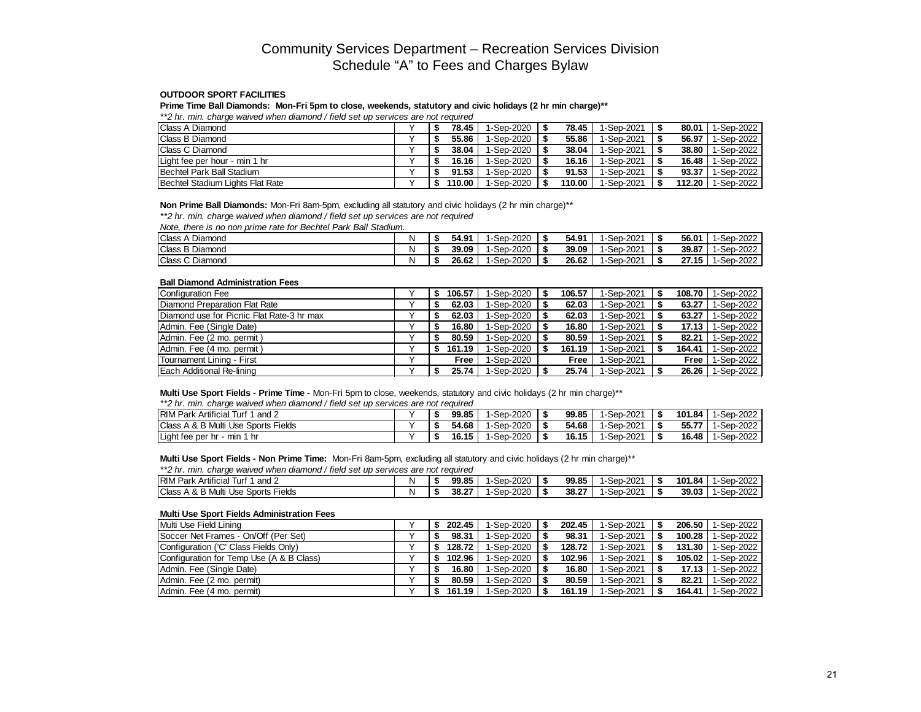## **OUTDOOR SPORT FACILITIES**

**Prime Time Ball Diamonds: Mon-Fri 5pm to close, weekends, statutory and civic holidays (2 hr min charge)\*\***

*\*\*2 hr. min. charge waived when diamond / field set up services are not required*

| <b>Class A Diamond</b>           |  | 78.45  | 1-Sep-2020        | 78.45  | 1-Sep-2021 | 80.01  | 1-Sep-2022 |
|----------------------------------|--|--------|-------------------|--------|------------|--------|------------|
| <b>IClass B Diamond</b>          |  | 55.86  | I-Sep-2020        | 55.86  | 1-Sep-2021 | 56.97  | 1-Sep-2022 |
| <b>Class C Diamond</b>           |  | 38.04  | 1-Sep-2020        | 38.04  | 1-Sep-2021 | 38.80  | 1-Sep-2022 |
| Light fee per hour - min 1 hr    |  | 16.16  | I-Sep-2020        | 16.16  | 1-Sep-2021 | 16.48  | 1-Sep-2022 |
| <b>Bechtel Park Ball Stadium</b> |  | 91.53  | <b>I-Sep-2020</b> | 91.53  | I-Sep-2021 | 93.37  | 1-Sep-2022 |
| Bechtel Stadium Lights Flat Rate |  | 110.00 | <b>I-Sep-2020</b> | 110.00 | -Sep-2021  | 112.20 | 1-Sep-2022 |

#### **Non Prime Ball Diamonds:** Mon-Fri 8am-5pm, excluding all statutory and civic holidays (2 hr min charge)\*\*

*\*\*2 hr. min. charge waived when diamond / field set up services are not required*

*Note, there is no non prime rate for Bechtel Park Ball Stadium.*

| <b>IClass A Diamond</b> |  | 54.91 | -Sep-2020   | 54.91 | 1-Sep-2021 | 56.01 | 1-Sep-2022  |
|-------------------------|--|-------|-------------|-------|------------|-------|-------------|
| <b>IClass B Diamond</b> |  | 39.09 | -Sep-2020   | 39.09 | 1-Sep-2021 | 39.87 | 1-Sep-2022  |
| <b>IClass C Diamond</b> |  | 26.62 | $-Sep-2020$ | 26.62 | 1-Sep-2021 | 27.15 | $-Sep-2022$ |

### **Ball Diamond Administration Fees**

| Configuration Fee                         | 106.57 | 1-Sep-2020 | 106.57 | 1-Sep-2021 | 108.70 | 1-Sep-2022 |
|-------------------------------------------|--------|------------|--------|------------|--------|------------|
| Diamond Preparation Flat Rate             | 62.03  | 1-Sep-2020 | 62.03  | 1-Sep-2021 | 63.27  | 1-Sep-2022 |
| Diamond use for Picnic Flat Rate-3 hr max | 62.03  | 1-Sep-2020 | 62.03  | 1-Sep-2021 | 63.27  | 1-Sep-2022 |
| Admin. Fee (Single Date)                  | 16.80  | 1-Sep-2020 | 16.80  | 1-Sep-2021 | 17.13  | 1-Sep-2022 |
| Admin. Fee (2 mo. permit)                 | 80.59  | 1-Sep-2020 | 80.59  | 1-Sep-2021 | 82.21  | 1-Sep-2022 |
| IAdmin. Fee (4 mo. permit )               | 161.19 | 1-Sep-2020 | 161.19 | 1-Sep-2021 | 164.41 | 1-Sep-2022 |
| Tournament Lining - First                 | Free   | 1-Sep-2020 | Free   | 1-Sep-2021 | Free   | 1-Sep-2022 |
| l Each Additional Re-lining               | 25.74  | 1-Sep-2020 | 25.74  | 1-Sep-2021 | 26.26  | 1-Sep-2022 |

## **Multi Use Sport Fields - Prime Time -** Mon-Fri 5pm to close, weekends, statutory and civic holidays (2 hr min charge)\*\*

*\*\*2 hr. min. charge waived when diamond / field set up services are not required*

| <b>IRIM Park Artificial Turf 1</b><br>and $2$   |  | 99.85  | 1-Sep-2020 | 99.85 | 1-Sep-2021 | 101.84 | 1-Sep-2022 |
|-------------------------------------------------|--|--------|------------|-------|------------|--------|------------|
| <b>IClass A &amp; B Multi Use Sports Fields</b> |  | - 4.68 | 1-Sep-2020 | 54.68 | 1-Sep-2021 | 55.77  | 1-Sep-2022 |
| Light fee per hr - min                          |  | 16.15  | 1-Sep-2020 | 16.15 | 1-Sep-2021 | 16.48  | 1-Sep-2022 |

## **Multi Use Sport Fields - Non Prime Time:** Mon-Fri 8am-5pm, excluding all statutory and civic holidays (2 hr min charge)\*\*

#### *\*\*2 hr. min. charge waived when diamond / field set up services are not required*

| <b>RIMP</b><br>$-0.000$<br>and 2<br>Artificial<br>Park<br>, ur   |  | 99.85 | $-202C$<br>Sep- | 99.85 | $-2021$<br>Sep | 101.84 | -Sep-2022   |
|------------------------------------------------------------------|--|-------|-----------------|-------|----------------|--------|-------------|
| <b>Class</b><br>Fields<br>ິ<br>. & B Multi<br>Sports<br>Use<br>∸ |  | 38.27 | 2020<br>-Sep-   | 38.27 | -Sep-2021      | 39.03  | $-Sep-2022$ |

#### **Multi Use Sport Fields Administration Fees**

| Multi Use Field Lining                              | 202.45 | 1-Sep-2020 I | 202.45 | 1-Sep-2021 | 206.50 | 1-Sep-2022 |
|-----------------------------------------------------|--------|--------------|--------|------------|--------|------------|
| Soccer Net Frames - On/Off (Per Set)                | 98.31  | 1-Sep-2020   | 98.31  | 1-Sep-2021 | 100.28 | 1-Sep-2022 |
| Configuration ('C' Class Fields Only)               | 128.72 | 1-Sep-2020   | 128.72 | 1-Sep-2021 | 131.30 | 1-Sep-2022 |
| <b>Configuration for Temp Use (A &amp; B Class)</b> | 102.96 | 1-Sep-2020   | 102.96 | 1-Sep-2021 | 105.02 | 1-Sep-2022 |
| Admin. Fee (Single Date)                            | 16.80  | 1-Sep-2020   | 16.80  | 1-Sep-2021 | 17.13  | 1-Sep-2022 |
| Admin. Fee (2 mo. permit)                           | 80.59  | 1-Sep-2020   | 80.59  | 1-Sep-2021 | 82.21  | 1-Sep-2022 |
| Admin. Fee (4 mo. permit)                           | 161.19 | 1-Sep-2020   | 161.19 | 1-Sep-2021 | 164.41 | 1-Sep-2022 |